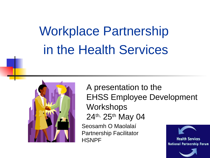# Workplace Partnership in the Health Services



A presentation to the EHSS Employee Development **Workshops** 24th, 25th May 04

Seosamh O Maolalaí Partnership Facilitator **HSNPF** 

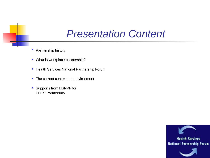#### *Presentation Content*

- Partnership history
- What is workplace partnership?
- **Health Services National Partnership Forum**
- The current context and environment
- **Supports from HSNPF for** EHSS Partnership

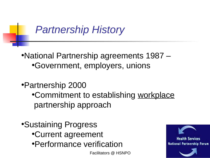#### *Partnership History*

- •National Partnership agreements 1987 •Government, employers, unions
- •Partnership 2000
	- •Commitment to establishing workplace partnership approach
- •Sustaining Progress •Current agreement •Performance verification

Facilitators @ HSNPO

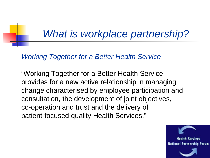#### *What is workplace partnership?*

#### *Working Together for a Better Health Service*

"Working Together for a Better Health Service provides for a new active relationship in managing change characterised by employee participation and consultation, the development of joint objectives, co-operation and trust and the delivery of patient-focused quality Health Services."

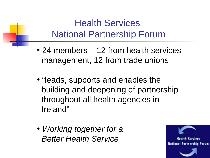#### Health Services National Partnership Forum

- 24 members 12 from health services management, 12 from trade unions
- "leads, supports and enables the building and deepening of partnership throughout all health agencies in Ireland"
- *Working together for a Better Health Service*

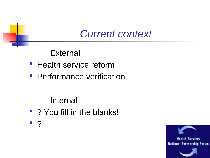#### *Current context*

External

- **Health service reform**
- **Performance verification**

Internal

- ? You fill in the blanks!
- ?

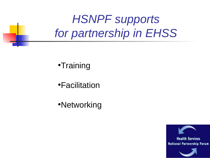### *HSNPF supports for partnership in EHSS*

•Training

•Facilitation

•Networking

**Health Services National Partnership Forum**